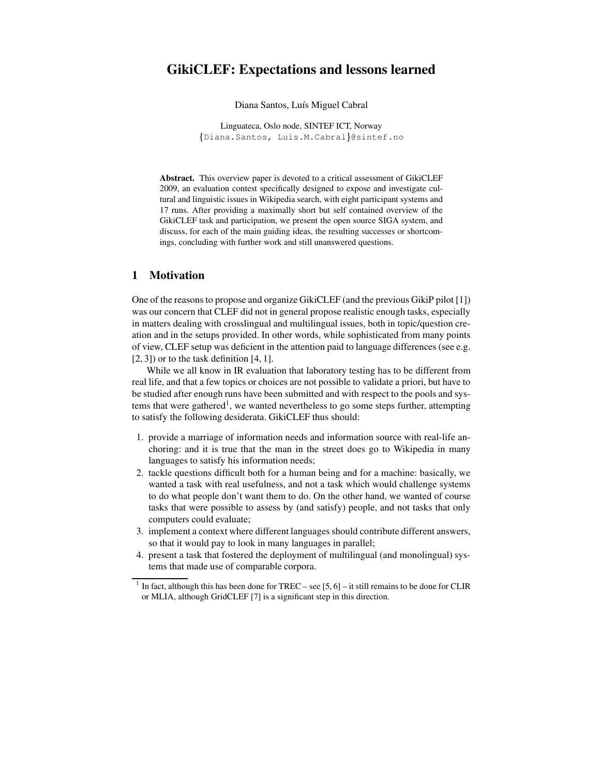# **GikiCLEF: Expectations and lessons learned**

Diana Santos, Luís Miguel Cabral

Linguateca, Oslo node, SINTEF ICT, Norway Diana.Santos, Luis.M.Cabral @sintef.no

**Abstract.** This overview paper is devoted to a critical assessment of GikiCLEF 2009, an evaluation contest specifically designed to expose and investigate cultural and linguistic issues in Wikipedia search, with eight participant systems and 17 runs. After providing a maximally short but self contained overview of the GikiCLEF task and participation, we present the open source SIGA system, and discuss, for each of the main guiding ideas, the resulting successes or shortcomings, concluding with further work and still unanswered questions.

## **1 Motivation**

One of the reasons to propose and organize GikiCLEF (and the previous GikiP pilot [1]) was our concern that CLEF did not in general propose realistic enough tasks, especially in matters dealing with crosslingual and multilingual issues, both in topic/question creation and in the setups provided. In other words, while sophisticated from many points of view, CLEF setup was deficient in the attention paid to language differences (see e.g.  $[2, 3]$  or to the task definition  $[4, 1]$ .

While we all know in IR evaluation that laboratory testing has to be different from real life, and that a few topics or choices are not possible to validate a priori, but have to be studied after enough runs have been submitted and with respect to the pools and systems that were gathered<sup>1</sup>, we wanted nevertheless to go some steps further, attempting to satisfy the following desiderata. GikiCLEF thus should:

- 1. provide a marriage of information needs and information source with real-life anchoring: and it is true that the man in the street does go to Wikipedia in many languages to satisfy his information needs;
- 2. tackle questions difficult both for a human being and for a machine: basically, we wanted a task with real usefulness, and not a task which would challenge systems to do what people don't want them to do. On the other hand, we wanted of course tasks that were possible to assess by (and satisfy) people, and not tasks that only computers could evaluate;
- 3. implement a context where different languages should contribute different answers, so that it would pay to look in many languages in parallel;
- 4. present a task that fostered the deployment of multilingual (and monolingual) systems that made use of comparable corpora.

<sup>&</sup>lt;sup>1</sup> In fact, although this has been done for TREC – see [5, 6] – it still remains to be done for CLIR or MLIA, although GridCLEF [7] is a significant step in this direction.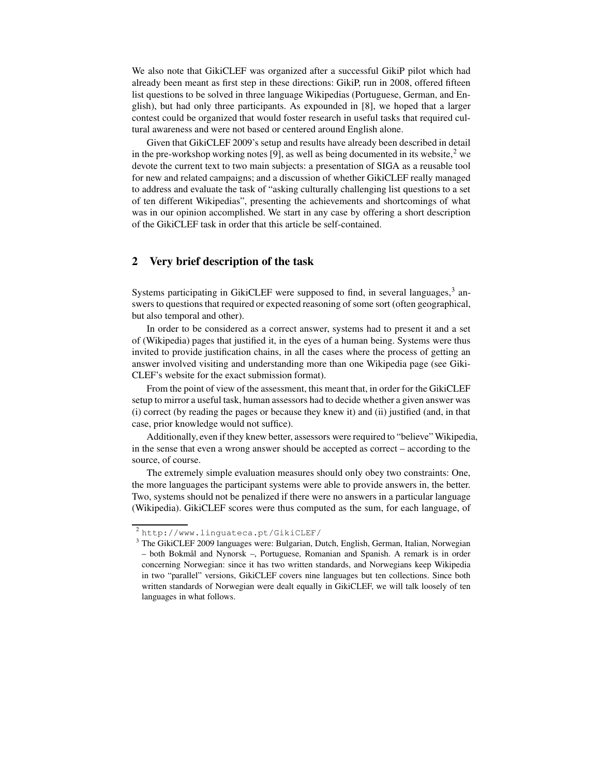We also note that GikiCLEF was organized after a successful GikiP pilot which had already been meant as first step in these directions: GikiP, run in 2008, offered fifteen list questions to be solved in three language Wikipedias (Portuguese, German, and English), but had only three participants. As expounded in [8], we hoped that a larger contest could be organized that would foster research in useful tasks that required cultural awareness and were not based or centered around English alone.

Given that GikiCLEF 2009's setup and results have already been described in detail in the pre-workshop working notes [9], as well as being documented in its website,  $2$  we devote the current text to two main subjects: a presentation of SIGA as a reusable tool for new and related campaigns; and a discussion of whether GikiCLEF really managed to address and evaluate the task of "asking culturally challenging list questions to a set of ten different Wikipedias", presenting the achievements and shortcomings of what was in our opinion accomplished. We start in any case by offering a short description of the GikiCLEF task in order that this article be self-contained.

#### **2 Very brief description of the task**

Systems participating in GikiCLEF were supposed to find, in several languages,<sup>3</sup> answers to questions that required or expected reasoning of some sort (often geographical, but also temporal and other).

In order to be considered as a correct answer, systems had to present it and a set of (Wikipedia) pages that justified it, in the eyes of a human being. Systems were thus invited to provide justification chains, in all the cases where the process of getting an answer involved visiting and understanding more than one Wikipedia page (see Giki-CLEF's website for the exact submission format).

From the point of view of the assessment, this meant that, in order for the GikiCLEF setup to mirror a useful task, human assessors had to decide whether a given answer was (i) correct (by reading the pages or because they knew it) and (ii) justified (and, in that case, prior knowledge would not suffice).

Additionally, even if they knew better, assessors were required to "believe" Wikipedia, in the sense that even a wrong answer should be accepted as correct – according to the source, of course.

The extremely simple evaluation measures should only obey two constraints: One, the more languages the participant systems were able to provide answers in, the better. Two, systems should not be penalized if there were no answers in a particular language (Wikipedia). GikiCLEF scores were thus computed as the sum, for each language, of

<sup>2</sup> http://www.linguateca.pt/GikiCLEF/

<sup>&</sup>lt;sup>3</sup> The GikiCLEF 2009 languages were: Bulgarian, Dutch, English, German, Italian, Norwegian – both Bokmal˚ and Nynorsk –, Portuguese, Romanian and Spanish. A remark is in order concerning Norwegian: since it has two written standards, and Norwegians keep Wikipedia in two "parallel" versions, GikiCLEF covers nine languages but ten collections. Since both written standards of Norwegian were dealt equally in GikiCLEF, we will talk loosely of ten languages in what follows.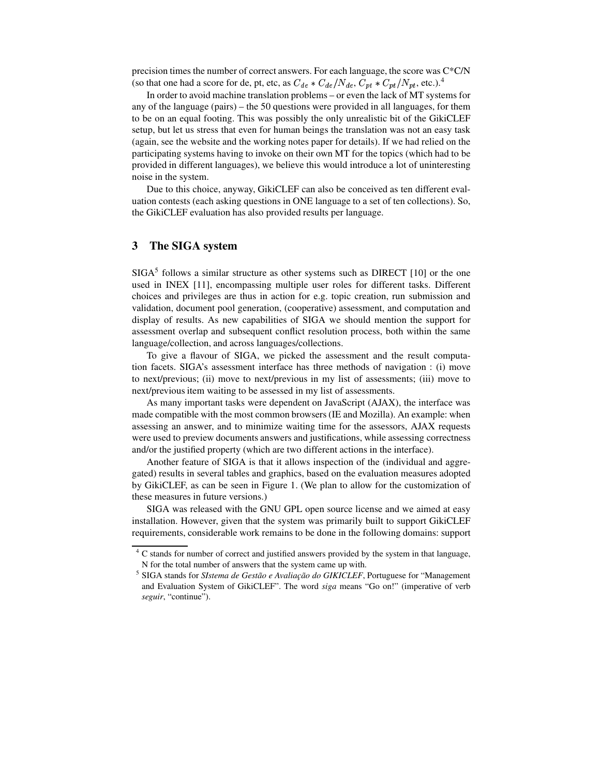precision times the number of correct answers. For each language, the score was C\*C/N (so that one had a score for de, pt, etc, as  $C_{de} * C_{de}/N_{de}$ ,  $C_{pt} * C_{pt}/N_{pt}$ , etc.).<sup>4</sup>

In order to avoid machine translation problems – or even the lack of MT systems for any of the language (pairs) – the 50 questions were provided in all languages, for them to be on an equal footing. This was possibly the only unrealistic bit of the GikiCLEF setup, but let us stress that even for human beings the translation was not an easy task (again, see the website and the working notes paper for details). If we had relied on the participating systems having to invoke on their own MT for the topics (which had to be provided in different languages), we believe this would introduce a lot of uninteresting noise in the system.

Due to this choice, anyway, GikiCLEF can also be conceived as ten different evaluation contests (each asking questions in ONE language to a set of ten collections). So, the GikiCLEF evaluation has also provided results per language.

### **3 The SIGA system**

 $SIGA<sup>5</sup>$  follows a similar structure as other systems such as DIRECT [10] or the one used in INEX [11], encompassing multiple user roles for different tasks. Different choices and privileges are thus in action for e.g. topic creation, run submission and validation, document pool generation, (cooperative) assessment, and computation and display of results. As new capabilities of SIGA we should mention the support for assessment overlap and subsequent conflict resolution process, both within the same language/collection, and across languages/collections.

To give a flavour of SIGA, we picked the assessment and the result computation facets. SIGA's assessment interface has three methods of navigation : (i) move to next/previous; (ii) move to next/previous in my list of assessments; (iii) move to next/previous item waiting to be assessed in my list of assessments.

As many important tasks were dependent on JavaScript (AJAX), the interface was made compatible with the most common browsers (IE and Mozilla). An example: when assessing an answer, and to minimize waiting time for the assessors, AJAX requests were used to preview documents answers and justifications, while assessing correctness and/or the justified property (which are two different actions in the interface).

Another feature of SIGA is that it allows inspection of the (individual and aggregated) results in several tables and graphics, based on the evaluation measures adopted by GikiCLEF, as can be seen in Figure 1. (We plan to allow for the customization of these measures in future versions.)

SIGA was released with the GNU GPL open source license and we aimed at easy installation. However, given that the system was primarily built to support GikiCLEF requirements, considerable work remains to be done in the following domains: support

<sup>&</sup>lt;sup>4</sup> C stands for number of correct and justified answers provided by the system in that language, N for the total number of answers that the system came up with.

<sup>&</sup>lt;sup>5</sup> SIGA stands for *SIstema de Gestão e Avaliação do GIKICLEF*, Portuguese for "Management and Evaluation System of GikiCLEF". The word *siga* means "Go on!" (imperative of verb *seguir*, "continue").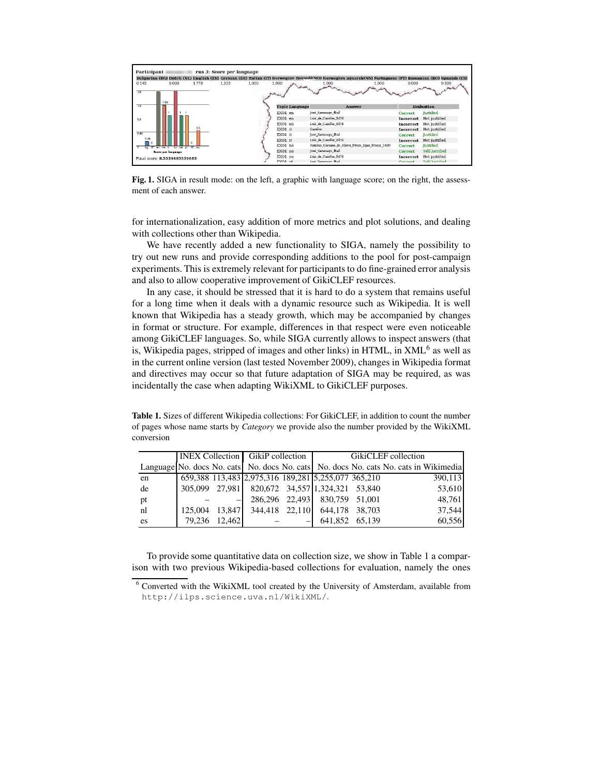

**Fig. 1.** SIGA in result mode: on the left, a graphic with language score; on the right, the assessment of each answer.

for internationalization, easy addition of more metrics and plot solutions, and dealing with collections other than Wikipedia.

We have recently added a new functionality to SIGA, namely the possibility to try out new runs and provide corresponding additions to the pool for post-campaign experiments. This is extremely relevant for participants to do fine-grained error analysis and also to allow cooperative improvement of GikiCLEF resources.

In any case, it should be stressed that it is hard to do a system that remains useful for a long time when it deals with a dynamic resource such as Wikipedia. It is well known that Wikipedia has a steady growth, which may be accompanied by changes in format or structure. For example, differences in that respect were even noticeable among GikiCLEF languages. So, while SIGA currently allows to inspect answers (that is, Wikipedia pages, stripped of images and other links) in HTML, in  $\text{XML}^6$  as well as in the current online version (last tested November 2009), changes in Wikipedia format and directives may occur so that future adaptation of SIGA may be required, as was incidentally the case when adapting WikiXML to GikiCLEF purposes.

**Table 1.** Sizes of different Wikipedia collections: For GikiCLEF, in addition to count the number of pages whose name starts by *Category* we provide also the number provided by the WikiXML conversion

|    |         |        | <b>INEX Collection</b> GikiP collection             | GikiCLEF collection           |  |                                                                                      |  |
|----|---------|--------|-----------------------------------------------------|-------------------------------|--|--------------------------------------------------------------------------------------|--|
|    |         |        |                                                     |                               |  | Language No. docs No. cats No. docs No. cats No. docs No. cats No. cats in Wikimedia |  |
| en |         |        | 659,388 113,483 2,975,316 189,281 5,255,077 365,210 |                               |  | 390,113                                                                              |  |
| de |         |        | 305,099 27,981 820,672 34,557 1,324,321 53,840      |                               |  | 53,610                                                                               |  |
| pt |         |        |                                                     | 286,296 22,493 830,759 51,001 |  | 48,761                                                                               |  |
| nl | 125,004 |        | 13,847 344,418 22,110 644,178 38,703                |                               |  | 37,544                                                                               |  |
| es | 79.236  | 12.462 |                                                     | 641,852 65,139                |  | 60,556                                                                               |  |

To provide some quantitative data on collection size, we show in Table 1 a comparison with two previous Wikipedia-based collections for evaluation, namely the ones

<sup>6</sup> Converted with the WikiXML tool created by the University of Amsterdam, available from http://ilps.science.uva.nl/WikiXML/.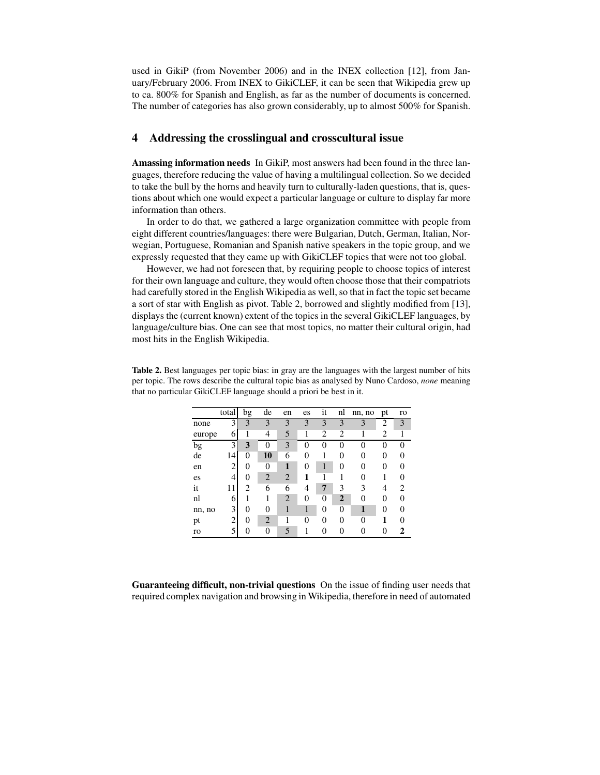used in GikiP (from November 2006) and in the INEX collection [12], from January/February 2006. From INEX to GikiCLEF, it can be seen that Wikipedia grew up to ca. 800% for Spanish and English, as far as the number of documents is concerned. The number of categories has also grown considerably, up to almost 500% for Spanish.

#### **4 Addressing the crosslingual and crosscultural issue**

**Amassing information needs** In GikiP, most answers had been found in the three languages, therefore reducing the value of having a multilingual collection. So we decided to take the bull by the horns and heavily turn to culturally-laden questions, that is, questions about which one would expect a particular language or culture to display far more information than others.

In order to do that, we gathered a large organization committee with people from eight different countries/languages: there were Bulgarian, Dutch, German, Italian, Norwegian, Portuguese, Romanian and Spanish native speakers in the topic group, and we expressly requested that they came up with GikiCLEF topics that were not too global.

However, we had not foreseen that, by requiring people to choose topics of interest for their own language and culture, they would often choose those that their compatriots had carefully stored in the English Wikipedia as well, so that in fact the topic set became a sort of star with English as pivot. Table 2, borrowed and slightly modified from [13], displays the (current known) extent of the topics in the several GikiCLEF languages, by language/culture bias. One can see that most topics, no matter their cultural origin, had most hits in the English Wikipedia.

|        | total          | bg       | de             | en             | es       | it | nl             | nn, no   | pt | ro |
|--------|----------------|----------|----------------|----------------|----------|----|----------------|----------|----|----|
| none   | 3              | 3        | 3              | 3              | 3        | 3  | 3              | 3        | 2  | 3  |
| europe | 6              |          | 4              | 5              |          | 2  | 2              |          | 2  |    |
| bg     | 3              | 3        | 0              | 3              | 0        | 0  | 0              | $\Omega$ | 0  | 0  |
| de     | 14             | $\Omega$ | 10             | 6              | $\theta$ |    | 0              | 0        | 0  |    |
| en     | $\overline{c}$ | 0        | 0              | 1              | 0        |    | 0              | 0        | 0  |    |
| es     | 4              | $\Omega$ | $\overline{2}$ | $\overline{2}$ |          |    |                | 0        |    |    |
| it     | 11             | 2        | 6              | 6              | 4        | 7  | 3              | 3        | 4  | 2  |
| nl     | 6              | 1        | 1              | $\overline{2}$ | 0        | 0  | $\overline{2}$ | 0        | 0  |    |
| nn, no | 3              | 0        | 0              |                |          | 0  | $\theta$       | 1        | 0  |    |
| pt     | $\overline{c}$ | 0        | $\overline{2}$ |                | 0        | 0  | 0              | $\Omega$ | 1  |    |
| ro     | 5              |          | 0              | 5              |          | 0  | 0              |          | 0  | 2  |

**Table 2.** Best languages per topic bias: in gray are the languages with the largest number of hits per topic. The rows describe the cultural topic bias as analysed by Nuno Cardoso, *none* meaning that no particular GikiCLEF language should a priori be best in it.

**Guaranteeing difficult, non-trivial questions** On the issue of finding user needs that required complex navigation and browsing in Wikipedia, therefore in need of automated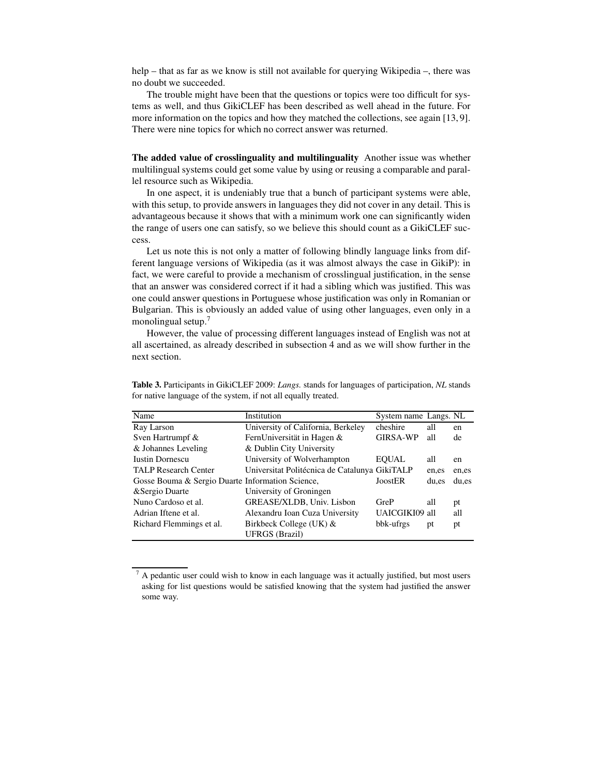help – that as far as we know is still not available for querying Wikipedia –, there was no doubt we succeeded.

The trouble might have been that the questions or topics were too difficult for systems as well, and thus GikiCLEF has been described as well ahead in the future. For more information on the topics and how they matched the collections, see again [13, 9]. There were nine topics for which no correct answer was returned.

**The added value of crosslinguality and multilinguality** Another issue was whether multilingual systems could get some value by using or reusing a comparable and parallel resource such as Wikipedia.

In one aspect, it is undeniably true that a bunch of participant systems were able, with this setup, to provide answers in languages they did not cover in any detail. This is advantageous because it shows that with a minimum work one can significantly widen the range of users one can satisfy, so we believe this should count as a GikiCLEF success.

Let us note this is not only a matter of following blindly language links from different language versions of Wikipedia (as it was almost always the case in GikiP): in fact, we were careful to provide a mechanism of crosslingual justification, in the sense that an answer was considered correct if it had a sibling which was justified. This was one could answer questions in Portuguese whose justification was only in Romanian or Bulgarian. This is obviously an added value of using other languages, even only in a monolingual setup.<sup>7</sup>

However, the value of processing different languages instead of English was not at all ascertained, as already described in subsection 4 and as we will show further in the next section.

| Name                                             | Institution                                   | System name Langs. NL |        |        |
|--------------------------------------------------|-----------------------------------------------|-----------------------|--------|--------|
| Ray Larson                                       | University of California, Berkeley            | cheshire              | all    | en     |
| Sven Hartrumpf &                                 | FernUniversität in Hagen &                    | <b>GIRSA-WP</b>       | all    | de     |
| & Johannes Leveling                              | & Dublin City University                      |                       |        |        |
| <b>Iustin Dornescu</b>                           | University of Wolverhampton                   | <b>EOUAL</b>          | all    | en     |
| <b>TALP Research Center</b>                      | Universitat Politécnica de Catalunya GikiTALP |                       | en, es | en, es |
| Gosse Bouma & Sergio Duarte Information Science, |                                               | JoostER               | du,es  | du.es  |
| & Sergio Duarte                                  | University of Groningen                       |                       |        |        |
| Nuno Cardoso et al.                              | GREASE/XLDB, Univ. Lisbon                     | GreP                  | all    | pt     |
| Adrian Iftene et al.                             | Alexandru Ioan Cuza University                | UAICGIKI09 all        |        | all    |
| Richard Flemmings et al.                         | Birkbeck College (UK) &                       | bbk-ufrgs             | pt     | pt     |
|                                                  | <b>UFRGS</b> (Brazil)                         |                       |        |        |

**Table 3.** Participants in GikiCLEF 2009: *Langs.* stands for languages of participation, *NL* stands for native language of the system, if not all equally treated.

<sup>7</sup> A pedantic user could wish to know in each language was it actually justified, but most users asking for list questions would be satisfied knowing that the system had justified the answer some way.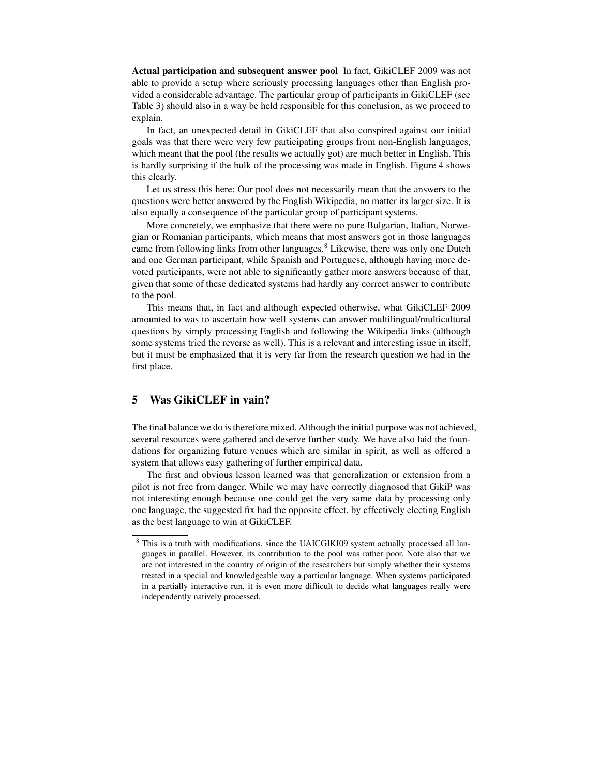**Actual participation and subsequent answer pool** In fact, GikiCLEF 2009 was not able to provide a setup where seriously processing languages other than English provided a considerable advantage. The particular group of participants in GikiCLEF (see Table 3) should also in a way be held responsible for this conclusion, as we proceed to explain.

In fact, an unexpected detail in GikiCLEF that also conspired against our initial goals was that there were very few participating groups from non-English languages, which meant that the pool (the results we actually got) are much better in English. This is hardly surprising if the bulk of the processing was made in English. Figure 4 shows this clearly.

Let us stress this here: Our pool does not necessarily mean that the answers to the questions were better answered by the English Wikipedia, no matter its larger size. It is also equally a consequence of the particular group of participant systems.

More concretely, we emphasize that there were no pure Bulgarian, Italian, Norwegian or Romanian participants, which means that most answers got in those languages came from following links from other languages.<sup>8</sup> Likewise, there was only one Dutch and one German participant, while Spanish and Portuguese, although having more devoted participants, were not able to significantly gather more answers because of that, given that some of these dedicated systems had hardly any correct answer to contribute to the pool.

This means that, in fact and although expected otherwise, what GikiCLEF 2009 amounted to was to ascertain how well systems can answer multilingual/multicultural questions by simply processing English and following the Wikipedia links (although some systems tried the reverse as well). This is a relevant and interesting issue in itself, but it must be emphasized that it is very far from the research question we had in the first place.

## **5 Was GikiCLEF in vain?**

The final balance we do is therefore mixed. Although the initial purpose was not achieved, several resources were gathered and deserve further study. We have also laid the foundations for organizing future venues which are similar in spirit, as well as offered a system that allows easy gathering of further empirical data.

The first and obvious lesson learned was that generalization or extension from a pilot is not free from danger. While we may have correctly diagnosed that GikiP was not interesting enough because one could get the very same data by processing only one language, the suggested fix had the opposite effect, by effectively electing English as the best language to win at GikiCLEF.

<sup>&</sup>lt;sup>8</sup> This is a truth with modifications, since the UAICGIKI09 system actually processed all languages in parallel. However, its contribution to the pool was rather poor. Note also that we are not interested in the country of origin of the researchers but simply whether their systems treated in a special and knowledgeable way a particular language. When systems participated in a partially interactive run, it is even more difficult to decide what languages really were independently natively processed.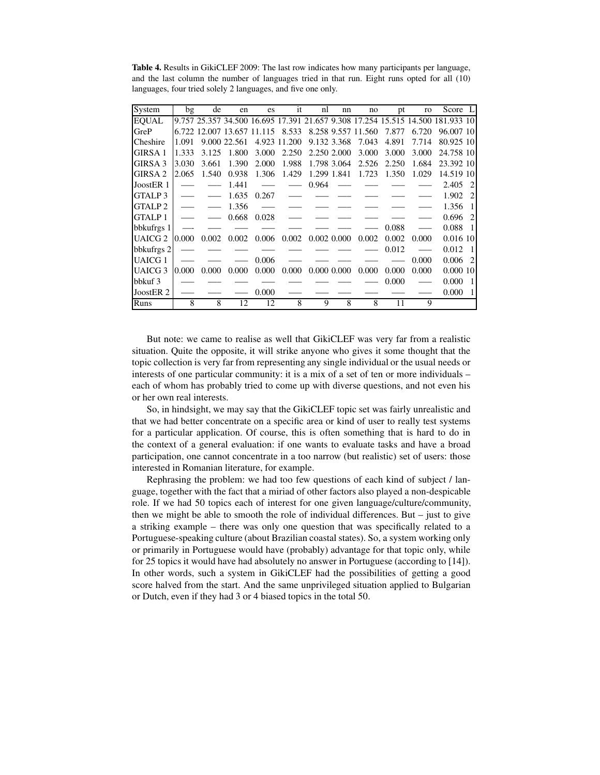**Table 4.** Results in GikiCLEF 2009: The last row indicates how many participants per language, and the last column the number of languages tried in that run. Eight runs opted for all (10) languages, four tried solely 2 languages, and five one only.

| System             | bg    | de    | en                         | es    | it           | nl              | nn          | no                 | pt    | ro    | Score                                                                          | $\mathbf{L}$  |
|--------------------|-------|-------|----------------------------|-------|--------------|-----------------|-------------|--------------------|-------|-------|--------------------------------------------------------------------------------|---------------|
| <b>EOUAL</b>       |       |       |                            |       |              |                 |             |                    |       |       | 9.757 25.357 34.500 16.695 17.391 21.657 9.308 17.254 15.515 14.500 181.933 10 |               |
| GreP               |       |       | 6.722 12.007 13.657 11.115 |       | 8.533        |                 |             | 8.258 9.557 11.560 | 7.877 | 6.720 | 96.007 10                                                                      |               |
| Cheshire           | 1.091 |       | 9.000 22.561               |       | 4.923 11.200 |                 | 9.132 3.368 | 7.043              | 4.891 | 7.714 | 80.925 10                                                                      |               |
| GIRSA 1            | 1.333 | 3.125 | 1.800                      | 3.000 | 2.250        |                 | 2.250 2.000 | 3.000              | 3.000 | 3.000 | 24.758 10                                                                      |               |
| GIRSA <sub>3</sub> | 3.030 | 3.661 | 1.390                      | 2.000 | 1.988        |                 | 1.798 3.064 | 2.526              | 2.250 | 1.684 | 23.392 10                                                                      |               |
| GIRSA 2            | 2.065 | 1.540 | 0.938                      | 1.306 | 1.429        |                 | 1.299 1.841 | 1.723              | 1.350 | 1.029 | 14.519 10                                                                      |               |
| JoostER 1          |       |       | 1.441                      |       |              | 0.964           |             |                    |       |       | 2.405                                                                          | $\mathcal{L}$ |
| <b>GTALP3</b>      |       |       | 1.635                      | 0.267 |              |                 |             |                    |       |       | 1.902                                                                          | 2             |
| GTALP <sub>2</sub> |       |       | 1.356                      |       |              |                 |             |                    |       |       | 1.356                                                                          |               |
| <b>GTALP1</b>      |       |       | 0.668                      | 0.028 |              |                 |             |                    |       |       | 0.696                                                                          | $\mathcal{L}$ |
| bbkufrgs 1         |       |       |                            |       |              |                 |             |                    | 0.088 |       | 0.088                                                                          |               |
| <b>UAICG 2</b>     | 0.000 | 0.002 | 0.002                      | 0.006 | 0.002        | $0.002$ $0.000$ |             | 0.002              | 0.002 | 0.000 | 0.016 10                                                                       |               |
| bbkufrgs 2         |       |       |                            |       |              |                 |             |                    | 0.012 |       | 0.012                                                                          |               |
| <b>UAICG1</b>      |       |       |                            | 0.006 |              |                 |             |                    |       | 0.000 | 0.006                                                                          | $\mathcal{D}$ |
| UAICG <sub>3</sub> | 0.000 | 0.000 | 0.000                      | 0.000 | 0.000        |                 | 0.000 0.000 | 0.000              | 0.000 | 0.000 | 0.000 10                                                                       |               |
| bbkuf 3            |       |       |                            |       |              |                 |             |                    | 0.000 |       | 0.000                                                                          |               |
| JoostER 2          |       |       |                            | 0.000 |              |                 |             |                    |       |       | 0.000                                                                          |               |
| Runs               | 8     | 8     | 12                         | 12    | 8            | 9               | 8           | 8                  | 11    | 9     |                                                                                |               |

But note: we came to realise as well that GikiCLEF was very far from a realistic situation. Quite the opposite, it will strike anyone who gives it some thought that the topic collection is very far from representing any single individual or the usual needs or interests of one particular community: it is a mix of a set of ten or more individuals – each of whom has probably tried to come up with diverse questions, and not even his or her own real interests.

So, in hindsight, we may say that the GikiCLEF topic set was fairly unrealistic and that we had better concentrate on a specific area or kind of user to really test systems for a particular application. Of course, this is often something that is hard to do in the context of a general evaluation: if one wants to evaluate tasks and have a broad participation, one cannot concentrate in a too narrow (but realistic) set of users: those interested in Romanian literature, for example.

Rephrasing the problem: we had too few questions of each kind of subject / language, together with the fact that a miriad of other factors also played a non-despicable role. If we had 50 topics each of interest for one given language/culture/community, then we might be able to smooth the role of individual differences. But – just to give a striking example – there was only one question that was specifically related to a Portuguese-speaking culture (about Brazilian coastal states). So, a system working only or primarily in Portuguese would have (probably) advantage for that topic only, while for 25 topics it would have had absolutely no answer in Portuguese (according to [14]). In other words, such a system in GikiCLEF had the possibilities of getting a good score halved from the start. And the same unprivileged situation applied to Bulgarian or Dutch, even if they had 3 or 4 biased topics in the total 50.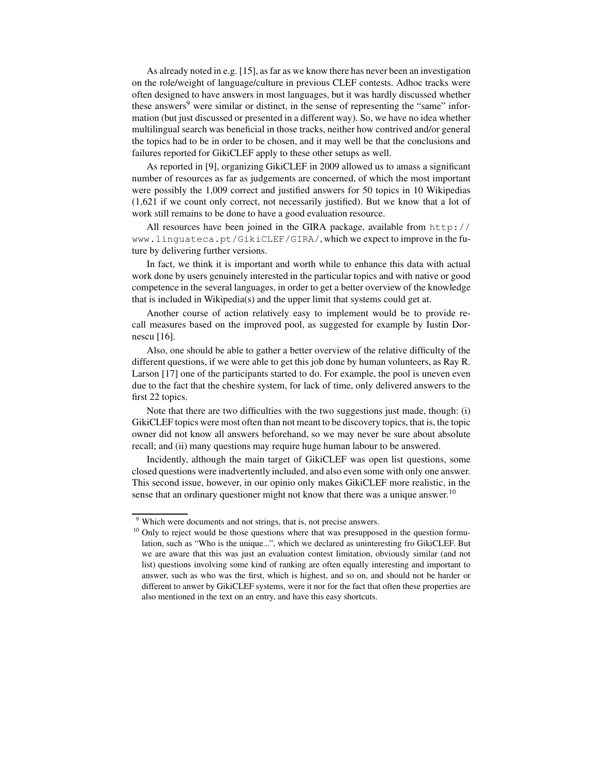As already noted in e.g. [15], as far as we know there has never been an investigation on the role/weight of language/culture in previous CLEF contests. Adhoc tracks were often designed to have answers in most languages, but it was hardly discussed whether these answers<sup>9</sup> were similar or distinct, in the sense of representing the "same" information (but just discussed or presented in a different way). So, we have no idea whether multilingual search was beneficial in those tracks, neither how contrived and/or general the topics had to be in order to be chosen, and it may well be that the conclusions and failures reported for GikiCLEF apply to these other setups as well.

As reported in [9], organizing GikiCLEF in 2009 allowed us to amass a significant number of resources as far as judgements are concerned, of which the most important were possibly the 1,009 correct and justified answers for 50 topics in 10 Wikipedias (1,621 if we count only correct, not necessarily justified). But we know that a lot of work still remains to be done to have a good evaluation resource.

All resources have been joined in the GIRA package, available from http:// www.linguateca.pt/GikiCLEF/GIRA/, which we expect to improve in the future by delivering further versions.

In fact, we think it is important and worth while to enhance this data with actual work done by users genuinely interested in the particular topics and with native or good competence in the several languages, in order to get a better overview of the knowledge that is included in Wikipedia(s) and the upper limit that systems could get at.

Another course of action relatively easy to implement would be to provide recall measures based on the improved pool, as suggested for example by Iustin Dornescu [16].

Also, one should be able to gather a better overview of the relative difficulty of the different questions, if we were able to get this job done by human volunteers, as Ray R. Larson [17] one of the participants started to do. For example, the pool is uneven even due to the fact that the cheshire system, for lack of time, only delivered answers to the first 22 topics.

Note that there are two difficulties with the two suggestions just made, though: (i) GikiCLEF topics were most often than not meant to be discovery topics, that is, the topic owner did not know all answers beforehand, so we may never be sure about absolute recall; and (ii) many questions may require huge human labour to be answered.

Incidently, although the main target of GikiCLEF was open list questions, some closed questions were inadvertently included, and also even some with only one answer. This second issue, however, in our opinio only makes GikiCLEF more realistic, in the sense that an ordinary questioner might not know that there was a unique answer.<sup>10</sup>

<sup>&</sup>lt;sup>9</sup> Which were documents and not strings, that is, not precise answers.

<sup>&</sup>lt;sup>10</sup> Only to reject would be those questions where that was presupposed in the question formulation, such as "Who is the unique...", which we declared as uninteresting fro GikiCLEF. But we are aware that this was just an evaluation contest limitation, obviously similar (and not list) questions involving some kind of ranking are often equally interesting and important to answer, such as who was the first, which is highest, and so on, and should not be harder or different to anwer by GikiCLEF systems, were it nor for the fact that often these properties are also mentioned in the text on an entry, and have this easy shortcuts.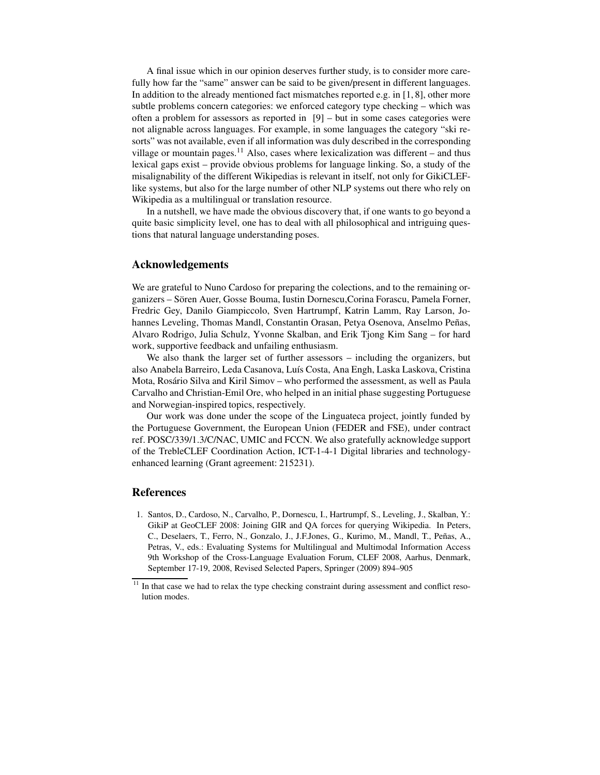A final issue which in our opinion deserves further study, is to consider more carefully how far the "same" answer can be said to be given/present in different languages. In addition to the already mentioned fact mismatches reported e.g. in [1, 8], other more subtle problems concern categories: we enforced category type checking – which was often a problem for assessors as reported in [9] – but in some cases categories were not alignable across languages. For example, in some languages the category "ski resorts" was not available, even if all information was duly described in the corresponding village or mountain pages.<sup>11</sup> Also, cases where lexicalization was different – and thus lexical gaps exist – provide obvious problems for language linking. So, a study of the misalignability of the different Wikipedias is relevant in itself, not only for GikiCLEFlike systems, but also for the large number of other NLP systems out there who rely on Wikipedia as a multilingual or translation resource.

In a nutshell, we have made the obvious discovery that, if one wants to go beyond a quite basic simplicity level, one has to deal with all philosophical and intriguing questions that natural language understanding poses.

#### **Acknowledgements**

We are grateful to Nuno Cardoso for preparing the colections, and to the remaining organizers – Sören Auer, Gosse Bouma, Iustin Dornescu, Corina Forascu, Pamela Forner, Fredric Gey, Danilo Giampiccolo, Sven Hartrumpf, Katrin Lamm, Ray Larson, Johannes Leveling, Thomas Mandl, Constantin Orasan, Petya Osenova, Anselmo Peñas, Alvaro Rodrigo, Julia Schulz, Yvonne Skalban, and Erik Tjong Kim Sang – for hard work, supportive feedback and unfailing enthusiasm.

We also thank the larger set of further assessors – including the organizers, but also Anabela Barreiro, Leda Casanova, Luís Costa, Ana Engh, Laska Laskova, Cristina Mota, Rosário Silva and Kiril Simov – who performed the assessment, as well as Paula Carvalho and Christian-Emil Ore, who helped in an initial phase suggesting Portuguese and Norwegian-inspired topics, respectively.

Our work was done under the scope of the Linguateca project, jointly funded by the Portuguese Government, the European Union (FEDER and FSE), under contract ref. POSC/339/1.3/C/NAC, UMIC and FCCN. We also gratefully acknowledge support of the TrebleCLEF Coordination Action, ICT-1-4-1 Digital libraries and technologyenhanced learning (Grant agreement: 215231).

#### **References**

1. Santos, D., Cardoso, N., Carvalho, P., Dornescu, I., Hartrumpf, S., Leveling, J., Skalban, Y.: GikiP at GeoCLEF 2008: Joining GIR and QA forces for querying Wikipedia. In Peters, C., Deselaers, T., Ferro, N., Gonzalo, J., J.F.Jones, G., Kurimo, M., Mandl, T., Peñas, A., Petras, V., eds.: Evaluating Systems for Multilingual and Multimodal Information Access 9th Workshop of the Cross-Language Evaluation Forum, CLEF 2008, Aarhus, Denmark, September 17-19, 2008, Revised Selected Papers, Springer (2009) 894–905

<sup>&</sup>lt;sup>11</sup> In that case we had to relax the type checking constraint during assessment and conflict resolution modes.